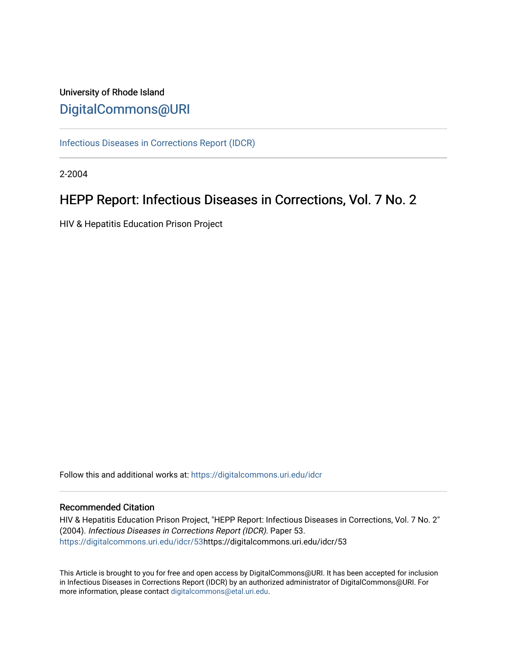# University of Rhode Island [DigitalCommons@URI](https://digitalcommons.uri.edu/)

[Infectious Diseases in Corrections Report \(IDCR\)](https://digitalcommons.uri.edu/idcr)

2-2004

# HEPP Report: Infectious Diseases in Corrections, Vol. 7 No. 2

HIV & Hepatitis Education Prison Project

Follow this and additional works at: [https://digitalcommons.uri.edu/idcr](https://digitalcommons.uri.edu/idcr?utm_source=digitalcommons.uri.edu%2Fidcr%2F53&utm_medium=PDF&utm_campaign=PDFCoverPages)

# Recommended Citation

HIV & Hepatitis Education Prison Project, "HEPP Report: Infectious Diseases in Corrections, Vol. 7 No. 2" (2004). Infectious Diseases in Corrections Report (IDCR). Paper 53. [https://digitalcommons.uri.edu/idcr/53h](https://digitalcommons.uri.edu/idcr/53?utm_source=digitalcommons.uri.edu%2Fidcr%2F53&utm_medium=PDF&utm_campaign=PDFCoverPages)ttps://digitalcommons.uri.edu/idcr/53

This Article is brought to you for free and open access by DigitalCommons@URI. It has been accepted for inclusion in Infectious Diseases in Corrections Report (IDCR) by an authorized administrator of DigitalCommons@URI. For more information, please contact [digitalcommons@etal.uri.edu.](mailto:digitalcommons@etal.uri.edu)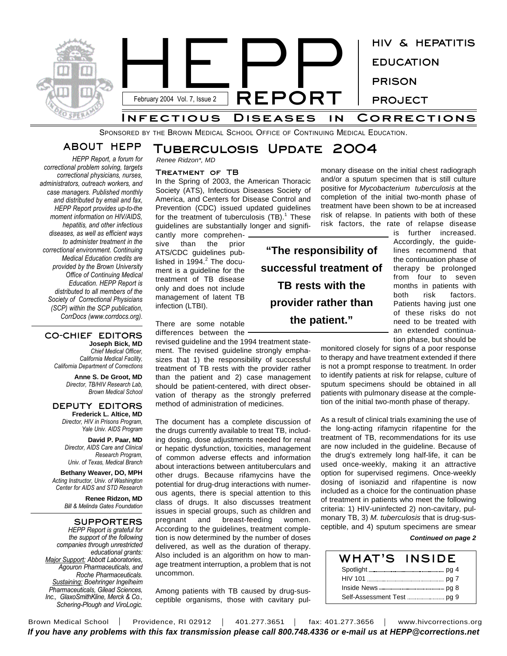

SPONSORED BY THE BROWN MEDICAL SCHOOL OFFICE OF CONTINUING MEDICAL EDUCATION.

# **ABOUT HEPP**

*HEPP Report, a forum for correctional problem solving, targets correctional physicians, nurses, administrators, outreach workers, and case managers. Published monthly and distributed by email and fax, HEPP Report provides up-to-the moment information on HIV/AIDS, hepatitis, and other infectious diseases, as well as efficient ways to administer treatment in the correctional environment. Continuing Medical Education credits are provided by the Brown University Office of Continuing Medical Education. HEPP Report is distributed to all members of the Society of Correctional Physicians (SCP) within the SCP publication, CorrDocs (www.corrdocs.org).*

### **CO-CHIEF EDITORS Joseph Bick, MD**

*Chief Medical Officer, California Medical Facility, California Department of Corrections*

> **Anne S. De Groot, MD** *Director, TB/HIV Research Lab, Brown Medical School*

#### **DEPUTY EDITORS Frederick L. Altice, MD**

*Director, HIV in Prisons Program, Yale Univ. AIDS Program*

**David P. Paar, MD** *Director, AIDS Care and Clinical Research Program, Univ. of Texas, Medical Branch*

**Bethany Weaver, DO, MPH** *Acting Instructor, Univ. of Washington Center for AIDS and STD Research*

> **Renee Ridzon, MD** *Bill & Melinda Gates Foundation*

**SUPPORTERS** *HEPP Report is grateful for the support of the following companies through unrestricted educational grants: Major Support: Abbott Laboratories, Agouron Pharmaceuticals, and Roche Pharmaceuticals. Sustaining: Boehringer Ingelheim Pharmaceuticals, Gilead Sciences, Inc., GlaxoSmithKline, Merck & Co., Schering-Plough and ViroLogic.*

# **Tuberculosis Update 2004**

*Renee Ridzon\*, MD*

#### **Treatment of TB**

In the Spring of 2003, the American Thoracic Society (ATS), Infectious Diseases Society of America, and Centers for Disease Control and Prevention (CDC) issued updated guidelines for the treatment of tuberculosis (TB).<sup>1</sup> These guidelines are substantially longer and signifi-

cantly more comprehensive than the prior ATS/CDC guidelines published in 1994.<sup>2</sup> The document is a guideline for the treatment of TB disease only and does not include management of latent TB infection (LTBI).

There are some notable differences between the

revised guideline and the 1994 treatment statement. The revised guideline strongly emphasizes that 1) the responsibility of successful treatment of TB rests with the provider rather than the patient and 2) case management should be patient-centered, with direct observation of therapy as the strongly preferred method of administration of medicines.

The document has a complete discussion of the drugs currently available to treat TB, including dosing, dose adjustments needed for renal or hepatic dysfunction, toxicities, management of common adverse effects and information about interactions between antituberculars and other drugs. Because rifamycins have the potential for drug-drug interactions with numerous agents, there is special attention to this class of drugs. It also discusses treatment issues in special groups, such as children and pregnant and breast-feeding women. According to the guidelines, treatment completion is now determined by the number of doses delivered, as well as the duration of therapy. Also included is an algorithm on how to manage treatment interruption, a problem that is not uncommon.

Among patients with TB caused by drug-susceptible organisms, those with cavitary pul-

**"The responsibility of successful treatment of TB rests with the provider rather than**

**the patient."**

monary disease on the initial chest radiograph and/or a sputum specimen that is still culture positive for *Mycobacterium tuberculosis* at the completion of the initial two-month phase of treatment have been shown to be at increased risk of relapse. In patients with both of these risk factors, the rate of relapse disease

is further increased. Accordingly, the guidelines recommend that the continuation phase of therapy be prolonged from four to seven months in patients with both risk factors. Patients having just one of these risks do not need to be treated with an extended continuation phase, but should be

monitored closely for signs of a poor response to therapy and have treatment extended if there is not a prompt response to treatment. In order to identify patients at risk for relapse, culture of sputum specimens should be obtained in all patients with pulmonary disease at the completion of the initial two-month phase of therapy.

As a result of clinical trials examining the use of the long-acting rifamycin rifapentine for the treatment of TB, recommendations for its use are now included in the guideline. Because of the drug's extremely long half-life, it can be used once-weekly, making it an attractive option for supervised regimens. Once-weekly dosing of isoniazid and rifapentine is now included as a choice for the continuation phase of treatment in patients who meet the following criteria: 1) HIV-uninfected 2) non-cavitary, pulmonary TB, 3) *M. tuberculosis* that is drug-susceptible, and 4) sputum specimens are smear

## *Continued on page 2*

| WHAT'S | <b>INSIDE</b> |
|--------|---------------|
|        |               |
|        |               |
|        |               |
|        |               |

Brown Medical School | Providence, RI 02912 | 401.277.3651 | fax: 401.277.3656 | www.hivcorrections.org *If you have any problems with this fax transmission please call 800.748.4336 or e-mail us at HEPP@corrections.net*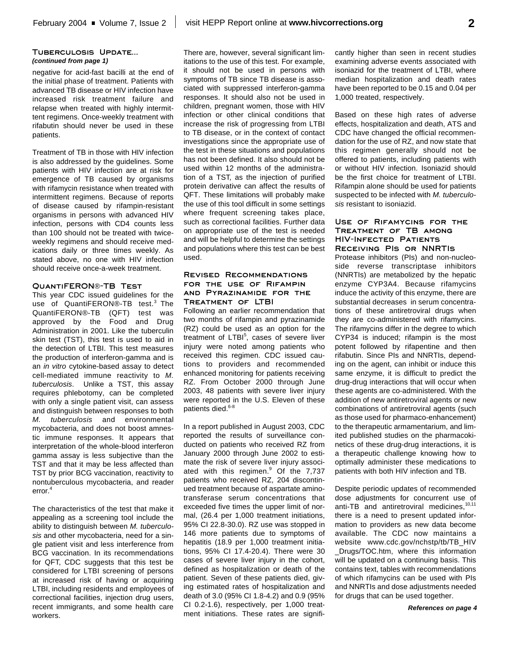## **Tuberculosis Update...** *(continued from page 1)*

negative for acid-fast bacilli at the end of the initial phase of treatment. Patients with advanced TB disease or HIV infection have increased risk treatment failure and relapse when treated with highly intermittent regimens. Once-weekly treatment with rifabutin should never be used in these patients.

Treatment of TB in those with HIV infection is also addressed by the guidelines. Some patients with HIV infection are at risk for emergence of TB caused by organisms with rifamycin resistance when treated with intermittent regimens. Because of reports of disease caused by rifampin-resistant organisms in persons with advanced HIV infection, persons with CD4 counts less than 100 should not be treated with twiceweekly regimens and should receive medications daily or three times weekly. As stated above, no one with HIV infection should receive once-a-week treatment.

#### **QuantiFERON**®**-TB Test**

This year CDC issued guidelines for the use of QuantiFERON®-TB test.<sup>3</sup> The QuantiFERON®-TB (QFT) test was approved by the Food and Drug Administration in 2001. Like the tuberculin skin test (TST), this test is used to aid in the detection of LTBI. This test measures the production of interferon-gamma and is an *in vitro* cytokine-based assay to detect cell-mediated immune reactivity to *M. tuberculosis*. Unlike a TST, this assay requires phlebotomy, can be completed with only a single patient visit, can assess and distinguish between responses to both *M. tuberculosis* and environmental mycobacteria, and does not boost amnestic immune responses. It appears that interpretation of the whole-blood interferon gamma assay is less subjective than the TST and that it may be less affected than TST by prior BCG vaccination, reactivity to nontuberculous mycobacteria, and reader error. 4

The characteristics of the test that make it appealing as a screening tool include the ability to distinguish between *M. tuberculosis* and other mycobacteria, need for a single patient visit and less interference from BCG vaccination. In its recommendations for QFT, CDC suggests that this test be considered for LTBI screening of persons at increased risk of having or acquiring LTBI, including residents and employees of correctional facilities, injection drug users, recent immigrants, and some health care workers.

There are, however, several significant limitations to the use of this test. For example, it should not be used in persons with symptoms of TB since TB disease is associated with suppressed interferon-gamma responses. It should also not be used in children, pregnant women, those with HIV infection or other clinical conditions that increase the risk of progressing from LTBI to TB disease, or in the context of contact investigations since the appropriate use of the test in these situations and populations has not been defined. It also should not be used within 12 months of the administration of a TST, as the injection of purified protein derivative can affect the results of QFT. These limitations will probably make the use of this tool difficult in some settings where frequent screening takes place, such as correctional facilities. Further data on appropriate use of the test is needed and will be helpful to determine the settings and populations where this test can be best used.

### **Revised Recommendations for the use of Rifampin and Pyrazinamide for the Treatment of LTBI**

Following an earlier recommendation that two months of rifampin and pyrazinamide (RZ) could be used as an option for the treatment of LTBI<sup>5</sup>, cases of severe liver injury were noted among patients who received this regimen. CDC issued cautions to providers and recommended enhanced monitoring for patients receiving RZ. From October 2000 through June 2003, 48 patients with severe liver injury were reported in the U.S. Eleven of these patients died. 6-8

In a report published in August 2003, CDC reported the results of surveillance conducted on patients who received RZ from January 2000 through June 2002 to estimate the risk of severe liver injury associated with this regimen.<sup>9</sup> Of the 7,737 patients who received RZ, 204 discontinued treatment because of aspartate aminotransferase serum concentrations that exceeded five times the upper limit of normal, (26.4 per 1,000 treatment initiations, 95% CI 22.8-30.0). RZ use was stopped in 146 more patients due to symptoms of hepatitis (18.9 per 1,000 treatment initiations, 95% CI 17.4-20.4). There were 30 cases of severe liver injury in the cohort, defined as hospitalization or death of the patient. Seven of these patients died, giving estimated rates of hospitalization and death of 3.0 (95% CI 1.8-4.2) and 0.9 (95% CI 0.2-1.6), respectively, per 1,000 treatment initiations. These rates are significantly higher than seen in recent studies examining adverse events associated with isoniazid for the treatment of LTBI, where median hospitalization and death rates have been reported to be 0.15 and 0.04 per 1,000 treated, respectively.

Based on these high rates of adverse effects, hospitalization and death, ATS and CDC have changed the official recommendation for the use of RZ, and now state that this regimen generally should not be offered to patients, including patients with or without HIV infection. Isoniazid should be the first choice for treatment of LTBI. Rifampin alone should be used for patients suspected to be infected with *M. tuberculosis* resistant to isoniazid.

# **Use of Rifamycins for the Treatment of TB among HIV-Infected Patients Receiving PIs or NNRTIs**

Protease inhibitors (PIs) and non-nucleoside reverse transcriptase inhibitors (NNRTIs) are metabolized by the hepatic enzyme CYP3A4. Because rifamycins induce the activity of this enzyme, there are substantial decreases in serum concentrations of these antiretroviral drugs when they are co-administered with rifamycins. The rifamycins differ in the degree to which CYP34 is induced; rifampin is the most potent followed by rifapentine and then rifabutin. Since PIs and NNRTIs, depending on the agent, can inhibit or induce this same enzyme, it is difficult to predict the drug-drug interactions that will occur when these agents are co-administered. With the addition of new antiretroviral agents or new combinations of antiretroviral agents (such as those used for pharmaco-enhancement) to the therapeutic armamentarium, and limited published studies on the pharmacokinetics of these drug-drug interactions, it is a therapeutic challenge knowing how to optimally administer these medications to patients with both HIV infection and TB.

Despite periodic updates of recommended dose adjustments for concurrent use of anti-TB and antiretroviral medicines,<sup>10,11</sup> there is a need to present updated information to providers as new data become available. The CDC now maintains a website www.cdc.gov/nchstp/tb/TB\_HIV \_Drugs/TOC.htm, where this information will be updated on a continuing basis. This contains text, tables with recommendations of which rifamycins can be used with PIs and NNRTIs and dose adjustments needed for drugs that can be used together.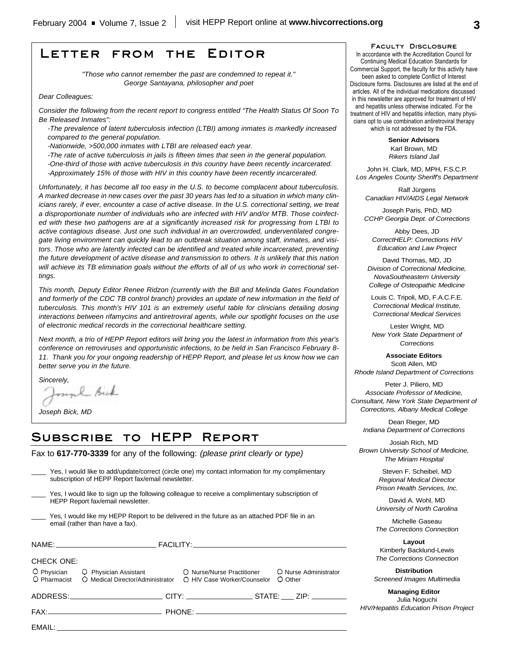# **Letter from the Editor**

*"Those who cannot remember the past are condemned to repeat it." George Santayana, philosopher and poet*

*Dear Colleagues:*

*Consider the following from the recent report to congress entitled "The Health Status Of Soon To Be Released Inmates":*

*-The prevalence of latent tuberculosis infection (LTBI) among inmates is markedly increased compared to the general population.* 

*-Nationwide, >500,000 inmates with LTBI are released each year.*

*-The rate of active tuberculosis in jails is fifteen times that seen in the general population. -One-third of those with active tuberculosis in this country have been recently incarcerated. -Approximately 15% of those with HIV in this country have been recently incarcerated.*

*Unfortunately, it has become all too easy in the U.S. to become complacent about tuberculosis. A marked decrease in new cases over the past 30 years has led to a situation in which many clinicians rarely, if ever, encounter a case of active disease. In the U.S. correctional setting, we treat a disproportionate number of individuals who are infected with HIV and/or MTB. Those coinfected with these two pathogens are at a significantly increased risk for progressing from LTBI to active contagious disease. Just one such individual in an overcrowded, underventilated congregate living environment can quickly lead to an outbreak situation among staff, inmates, and visitors. Those who are latently infected can be identified and treated while incarcerated, preventing the future development of active disease and transmission to others. It is unlikely that this nation will achieve its TB elimination goals without the efforts of all of us who work in correctional settings.* 

*This month, Deputy Editor Renee Ridzon (currently with the Bill and Melinda Gates Foundation and formerly of the CDC TB control branch) provides an update of new information in the field of tuberculosis. This month's HIV 101 is an extremely useful table for clinicians detailing dosing interactions between rifamycins and antiretroviral agents, while our spotlight focuses on the use of electronic medical records in the correctional healthcare setting.*

*Next month, a trio of HEPP Report editors will bring you the latest in information from this year's conference on retroviruses and opportunistic infections, to be held in San Francisco February 8- 11. Thank you for your ongoing readership of HEPP Report, and please let us know how we can better serve you in the future.* 

*Sincerely,* 

EMAIL:

myl Bick

*Joseph Bick, MD*

# **Subscribe to HEPP Report**

Fax to **617-770-3339** for any of the following: *(please print clearly or type)*

|                                                                                                                                 | ADDRESS:______________________________CITY: ______________________STATE: _____ ZIP: _________                                                         |  |                                  |
|---------------------------------------------------------------------------------------------------------------------------------|-------------------------------------------------------------------------------------------------------------------------------------------------------|--|----------------------------------|
| <b>CHECK ONE:</b>                                                                                                               | O Physician C Physician Assistant C Nurse/Nurse Practitioner<br>O Pharmacist O Medical Director/Administrator O HIV Case Worker/Counselor             |  | O Nurse Administrator<br>O Other |
|                                                                                                                                 |                                                                                                                                                       |  |                                  |
| Yes, I would like my HEPP Report to be delivered in the future as an attached PDF file in an<br>email (rather than have a fax). |                                                                                                                                                       |  |                                  |
|                                                                                                                                 | Yes, I would like to sign up the following colleague to receive a complimentary subscription of<br>HEPP Report fax/email newsletter.                  |  |                                  |
|                                                                                                                                 | Yes, I would like to add/update/correct (circle one) my contact information for my complimentary<br>subscription of HEPP Report fax/email newsletter. |  |                                  |

#### **Faculty Disclosure**

In accordance with the Accreditation Council for Continuing Medical Education Standards for Commercial Support, the faculty for this activity have been asked to complete Conflict of Interest Disclosure forms. Disclosures are listed at the end of articles. All of the individual medications discussed in this newsletter are approved for treatment of HIV and hepatitis unless otherwise indicated. For the treatment of HIV and hepatitis infection, many physicians opt to use combination antiretroviral therapy which is not addressed by the FDA.

> **Senior Advisors** Karl Brown, MD *Rikers Island Jail*

John H. Clark, MD, MPH, F.S.C.P. *Los Angeles County Sheriff's Department*

Ralf Jürgens *Canadian HIV/AIDS Legal Network*

Joseph Paris, PhD, MD *CCHP Georgia Dept. of Corrections*

Abby Dees, JD *CorrectHELP: Corrections HIV Education and Law Project*

David Thomas, MD, JD *Division of Correctional Medicine, NovaSoutheastern University College of Osteopathic Medicine*

Louis C. Tripoli, MD, F.A.C.F.E. *Correctional Medical Institute, Correctional Medical Services*

Lester Wright, MD *New York State Department of Corrections*

**Associate Editors** Scott Allen, MD *Rhode Island Department of Corrections*

Peter J. Piliero, MD *Associate Professor of Medicine, Consultant, New York State Department of Corrections, Albany Medical College*

Dean Rieger, MD *Indiana Department of Corrections*

Josiah Rich, MD *Brown University School of Medicine, The Miriam Hospital*

> Steven F. Scheibel, MD *Regional Medical Director Prison Health Services, Inc.*

> David A. Wohl, MD *University of North Carolina*

Michelle Gaseau *The Corrections Connection*

**Layout** Kimberly Backlund-Lewis *The Corrections Connection*

**Distribution** *Screened Images Multimedia*

**Managing Editor** Julia Noguchi *HIV/Hepatitis Education Prison Project*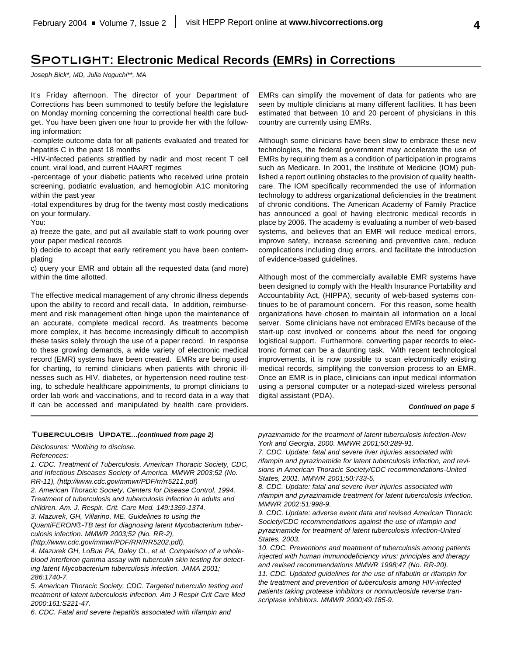# **Spotlight: Electronic Medical Records (EMRs) in Corrections**

*Joseph Bick\*, MD, Julia Noguchi\*\*, MA*

It's Friday afternoon. The director of your Department of Corrections has been summoned to testify before the legislature on Monday morning concerning the correctional health care budget. You have been given one hour to provide her with the following information:

-complete outcome data for all patients evaluated and treated for hepatitis C in the past 18 months

-HIV-infected patients stratified by nadir and most recent T cell count, viral load, and current HAART regimes

-percentage of your diabetic patients who received urine protein screening, podiatric evaluation, and hemoglobin A1C monitoring within the past year

-total expenditures by drug for the twenty most costly medications on your formulary.

You:

a) freeze the gate, and put all available staff to work pouring over your paper medical records

b) decide to accept that early retirement you have been contemplating

c) query your EMR and obtain all the requested data (and more) within the time allotted.

The effective medical management of any chronic illness depends upon the ability to record and recall data. In addition, reimbursement and risk management often hinge upon the maintenance of an accurate, complete medical record. As treatments become more complex, it has become increasingly difficult to accomplish these tasks solely through the use of a paper record. In response to these growing demands, a wide variety of electronic medical record (EMR) systems have been created. EMRs are being used for charting, to remind clinicians when patients with chronic illnesses such as HIV, diabetes, or hypertension need routine testing, to schedule healthcare appointments, to prompt clinicians to order lab work and vaccinations, and to record data in a way that it can be accessed and manipulated by health care providers.

EMRs can simplify the movement of data for patients who are seen by multiple clinicians at many different facilities. It has been estimated that between 10 and 20 percent of physicians in this country are currently using EMRs.

Although some clinicians have been slow to embrace these new technologies, the federal government may accelerate the use of EMRs by requiring them as a condition of participation in programs such as Medicare. In 2001, the Institute of Medicine (IOM) published a report outlining obstacles to the provision of quality healthcare. The IOM specifically recommended the use of information technology to address organizational deficiencies in the treatment of chronic conditions. The American Academy of Family Practice has announced a goal of having electronic medical records in place by 2006. The academy is evaluating a number of web-based systems, and believes that an EMR will reduce medical errors, improve safety, increase screening and preventive care, reduce complications including drug errors, and facilitate the introduction of evidence-based guidelines.

Although most of the commercially available EMR systems have been designed to comply with the Health Insurance Portability and Accountability Act, (HIPPA), security of web-based systems continues to be of paramount concern. For this reason, some health organizations have chosen to maintain all information on a local server. Some clinicians have not embraced EMRs because of the start-up cost involved or concerns about the need for ongoing logistical support. Furthermore, converting paper records to electronic format can be a daunting task. With recent technological improvements, it is now possible to scan electronically existing medical records, simplifying the conversion process to an EMR. Once an EMR is in place, clinicians can input medical information using a personal computer or a notepad-sized wireless personal digital assistant (PDA).

#### *Continued on page 5*

#### **Tuberculosis Update...***(continued from page 2)*

*Disclosures: \*Nothing to disclose. References:*

*1. CDC. Treatment of Tuberculosis, American Thoracic Society, CDC, and Infectious Diseases Society of America. MMWR 2003;52 (No. RR-11), (http://www.cdc.gov/mmwr/PDF/rr/rr5211.pdf)*

*2. American Thoracic Society, Centers for Disease Control. 1994. Treatment of tuberculosis and tuberculosis infection in adults and children. Am. J. Respir. Crit. Care Med. 149:1359-1374.*

*3. Mazurek, GH, Villarino, ME. Guidelines to using the*

*QuantiFERON*®*-TB test for diagnosing latent Mycobacterium tuberculosis infection. MMWR 2003;52 (No. RR-2),*

*(http://www.cdc.gov/mmwr/PDF/RR/RR5202.pdf).*

*4. Mazurek GH, LoBue PA, Daley CL, et al. Comparison of a wholeblood interferon gamma assay with tuberculin skin testing for detecting latent Mycobacterium tuberculosis infection. JAMA 2001; 286:1740-7.*

*5. American Thoracic Society, CDC. Targeted tuberculin testing and treatment of latent tuberculosis infection. Am J Respir Crit Care Med 2000;161:S221-47.*

*6. CDC. Fatal and severe hepatitis associated with rifampin and*

*pyrazinamide for the treatment of latent tuberculosis infection-New York and Georgia, 2000. MMWR 2001;50:289-91.*

*7. CDC. Update: fatal and severe liver injuries associated with rifampin and pyrazinamide for latent tuberculosis infection, and revisions in American Thoracic Society/CDC recommendations-United States, 2001. MMWR 2001;50:733-5.*

*8. CDC. Update: fatal and severe liver injuries associated with rifampin and pyrazinamide treatment for latent tuberculosis infection. MMWR 2002;51:998-9.*

*9. CDC. Update: adverse event data and revised American Thoracic Society/CDC recommendations against the use of rifampin and pyrazinamide for treatment of latent tuberculosis infection-United States, 2003.*

*10. CDC. Preventions and treatment of tuberculosis among patients injected with human immunodeficiency virus: principles and therapy and revised recommendations MMWR 1998;47 (No. RR-20).*

*11. CDC. Updated guidelines for the use of rifabutin or rifampin for the treatment and prevention of tuberculosis among HIV-infected patients taking protease inhibitors or nonnucleoside reverse transcriptase inhibitors. MMWR 2000;49:185-9.*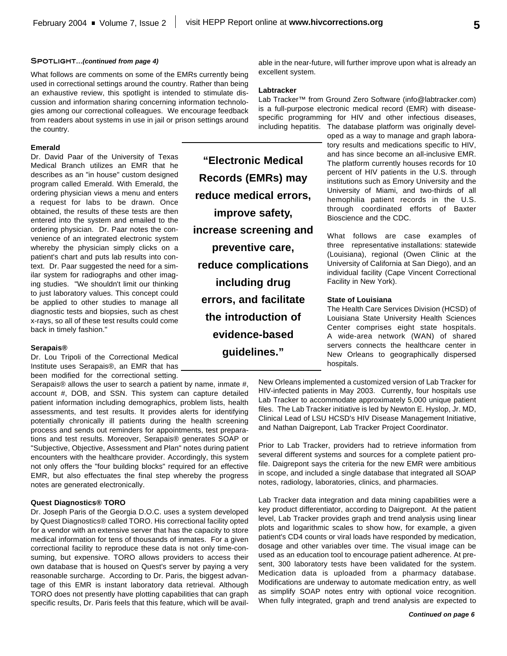#### **Spotlight...***(continued from page 4)*

What follows are comments on some of the EMRs currently being used in correctional settings around the country. Rather than being an exhaustive review, this spotlight is intended to stimulate discussion and information sharing concerning information technologies among our correctional colleagues. We encourage feedback from readers about systems in use in jail or prison settings around the country.

#### **Emerald**

Dr. David Paar of the University of Texas Medical Branch utilizes an EMR that he describes as an "in house" custom designed program called Emerald. With Emerald, the ordering physician views a menu and enters a request for labs to be drawn. Once obtained, the results of these tests are then entered into the system and emailed to the ordering physician. Dr. Paar notes the convenience of an integrated electronic system whereby the physician simply clicks on a patient's chart and puts lab results into context. Dr. Paar suggested the need for a similar system for radiographs and other imaging studies. "We shouldn't limit our thinking to just laboratory values. This concept could be applied to other studies to manage all diagnostic tests and biopsies, such as chest x-rays, so all of these test results could come back in timely fashion."

#### **Serapais®**

Dr. Lou Tripoli of the Correctional Medical Institute uses Serapais®, an EMR that has been modified for the correctional setting.

Serapais® allows the user to search a patient by name, inmate #, account #, DOB, and SSN. This system can capture detailed patient information including demographics, problem lists, health assessments, and test results. It provides alerts for identifying potentially chronically ill patients during the health screening process and sends out reminders for appointments, test preparations and test results. Moreover, Serapais® generates SOAP or "Subjective, Objective, Assessment and Plan" notes during patient encounters with the healthcare provider. Accordingly, this system not only offers the "four building blocks" required for an effective EMR, but also effectuates the final step whereby the progress notes are generated electronically.

### **Quest Diagnostics® TORO**

Dr. Joseph Paris of the Georgia D.O.C. uses a system developed by Quest Diagnostics® called TORO. His correctional facility opted for a vendor with an extensive server that has the capacity to store medical information for tens of thousands of inmates. For a given correctional facility to reproduce these data is not only time-consuming, but expensive. TORO allows providers to access their own database that is housed on Quest's server by paying a very reasonable surcharge. According to Dr. Paris, the biggest advantage of this EMR is instant laboratory data retrieval. Although TORO does not presently have plotting capabilities that can graph specific results, Dr. Paris feels that this feature, which will be available in the near-future, will further improve upon what is already an excellent system.

### **Labtracker**

**"Electronic Medical**

**Records (EMRs) may**

**reduce medical errors,**

**improve safety,**

**increase screening and**

**preventive care,**

**reduce complications**

**including drug**

**errors, and facilitate the introduction of**

**evidence-based** 

**guidelines."**

Lab Tracker™ from Ground Zero Software (info@labtracker.com) is a full-purpose electronic medical record (EMR) with diseasespecific programming for HIV and other infectious diseases, including hepatitis. The database platform was originally devel-

oped as a way to manage and graph laboratory results and medications specific to HIV, and has since become an all-inclusive EMR. The platform currently houses records for 10 percent of HIV patients in the U.S. through institutions such as Emory University and the University of Miami, and two-thirds of all hemophilia patient records in the U.S. through coordinated efforts of Baxter Bioscience and the CDC.

What follows are case examples of three representative installations: statewide (Louisiana), regional (Owen Clinic at the University of California at San Diego), and an individual facility (Cape Vincent Correctional Facility in New York).

#### **State of Louisiana**

The Health Care Services Division (HCSD) of Louisiana State University Health Sciences Center comprises eight state hospitals. A wide-area network (WAN) of shared servers connects the healthcare center in New Orleans to geographically dispersed hospitals.

New Orleans implemented a customized version of Lab Tracker for HIV-infected patients in May 2003. Currently, four hospitals use Lab Tracker to accommodate approximately 5,000 unique patient files. The Lab Tracker initiative is led by Newton E. Hyslop, Jr. MD, Clinical Lead of LSU HCSD's HIV Disease Management Initiative, and Nathan Daigrepont, Lab Tracker Project Coordinator.

Prior to Lab Tracker, providers had to retrieve information from several different systems and sources for a complete patient profile. Daigrepont says the criteria for the new EMR were ambitious in scope, and included a single database that integrated all SOAP notes, radiology, laboratories, clinics, and pharmacies.

Lab Tracker data integration and data mining capabilities were a key product differentiator, according to Daigrepont. At the patient level, Lab Tracker provides graph and trend analysis using linear plots and logarithmic scales to show how, for example, a given patient's CD4 counts or viral loads have responded by medication, dosage and other variables over time. The visual image can be used as an education tool to encourage patient adherence. At present, 300 laboratory tests have been validated for the system. Medication data is uploaded from a pharmacy database. Modifications are underway to automate medication entry, as well as simplify SOAP notes entry with optional voice recognition. When fully integrated, graph and trend analysis are expected to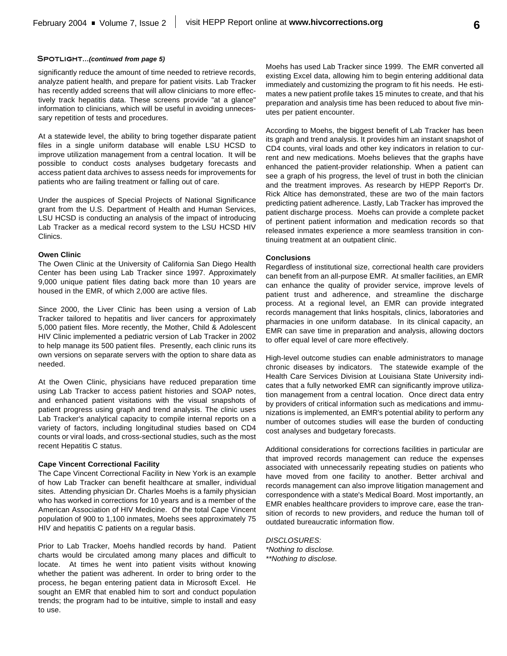#### **Spotlight...***(continued from page 5)*

significantly reduce the amount of time needed to retrieve records, analyze patient health, and prepare for patient visits. Lab Tracker has recently added screens that will allow clinicians to more effectively track hepatitis data. These screens provide "at a glance" information to clinicians, which will be useful in avoiding unnecessary repetition of tests and procedures.

At a statewide level, the ability to bring together disparate patient files in a single uniform database will enable LSU HCSD to improve utilization management from a central location. It will be possible to conduct costs analyses budgetary forecasts and access patient data archives to assess needs for improvements for patients who are failing treatment or falling out of care.

Under the auspices of Special Projects of National Significance grant from the U.S. Department of Health and Human Services, LSU HCSD is conducting an analysis of the impact of introducing Lab Tracker as a medical record system to the LSU HCSD HIV Clinics.

### **Owen Clinic**

The Owen Clinic at the University of California San Diego Health Center has been using Lab Tracker since 1997. Approximately 9,000 unique patient files dating back more than 10 years are housed in the EMR, of which 2,000 are active files.

Since 2000, the Liver Clinic has been using a version of Lab Tracker tailored to hepatitis and liver cancers for approximately 5,000 patient files. More recently, the Mother, Child & Adolescent HIV Clinic implemented a pediatric version of Lab Tracker in 2002 to help manage its 500 patient files. Presently, each clinic runs its own versions on separate servers with the option to share data as needed.

At the Owen Clinic, physicians have reduced preparation time using Lab Tracker to access patient histories and SOAP notes, and enhanced patient visitations with the visual snapshots of patient progress using graph and trend analysis. The clinic uses Lab Tracker's analytical capacity to compile internal reports on a variety of factors, including longitudinal studies based on CD4 counts or viral loads, and cross-sectional studies, such as the most recent Hepatitis C status.

# **Cape Vincent Correctional Facility**

The Cape Vincent Correctional Facility in New York is an example of how Lab Tracker can benefit healthcare at smaller, individual sites. Attending physician Dr. Charles Moehs is a family physician who has worked in corrections for 10 years and is a member of the American Association of HIV Medicine. Of the total Cape Vincent population of 900 to 1,100 inmates, Moehs sees approximately 75 HIV and hepatitis C patients on a regular basis.

Prior to Lab Tracker, Moehs handled records by hand. Patient charts would be circulated among many places and difficult to locate. At times he went into patient visits without knowing whether the patient was adherent. In order to bring order to the process, he began entering patient data in Microsoft Excel. He sought an EMR that enabled him to sort and conduct population trends; the program had to be intuitive, simple to install and easy to use.

Moehs has used Lab Tracker since 1999. The EMR converted all existing Excel data, allowing him to begin entering additional data immediately and customizing the program to fit his needs. He estimates a new patient profile takes 15 minutes to create, and that his preparation and analysis time has been reduced to about five minutes per patient encounter.

According to Moehs, the biggest benefit of Lab Tracker has been its graph and trend analysis. It provides him an instant snapshot of CD4 counts, viral loads and other key indicators in relation to current and new medications. Moehs believes that the graphs have enhanced the patient-provider relationship. When a patient can see a graph of his progress, the level of trust in both the clinician and the treatment improves. As research by HEPP Report's Dr. Rick Altice has demonstrated, these are two of the main factors predicting patient adherence. Lastly, Lab Tracker has improved the patient discharge process. Moehs can provide a complete packet of pertinent patient information and medication records so that released inmates experience a more seamless transition in continuing treatment at an outpatient clinic.

#### **Conclusions**

Regardless of institutional size, correctional health care providers can benefit from an all-purpose EMR. At smaller facilities, an EMR can enhance the quality of provider service, improve levels of patient trust and adherence, and streamline the discharge process. At a regional level, an EMR can provide integrated records management that links hospitals, clinics, laboratories and pharmacies in one uniform database. In its clinical capacity, an EMR can save time in preparation and analysis, allowing doctors to offer equal level of care more effectively.

High-level outcome studies can enable administrators to manage chronic diseases by indicators. The statewide example of the Health Care Services Division at Louisiana State University indicates that a fully networked EMR can significantly improve utilization management from a central location. Once direct data entry by providers of critical information such as medications and immunizations is implemented, an EMR's potential ability to perform any number of outcomes studies will ease the burden of conducting cost analyses and budgetary forecasts.

Additional considerations for corrections facilities in particular are that improved records management can reduce the expenses associated with unnecessarily repeating studies on patients who have moved from one facility to another. Better archival and records management can also improve litigation management and correspondence with a state's Medical Board. Most importantly, an EMR enables healthcare providers to improve care, ease the transition of records to new providers, and reduce the human toll of outdated bureaucratic information flow.

*DISCLOSURES: \*Nothing to disclose. \*\*Nothing to disclose.*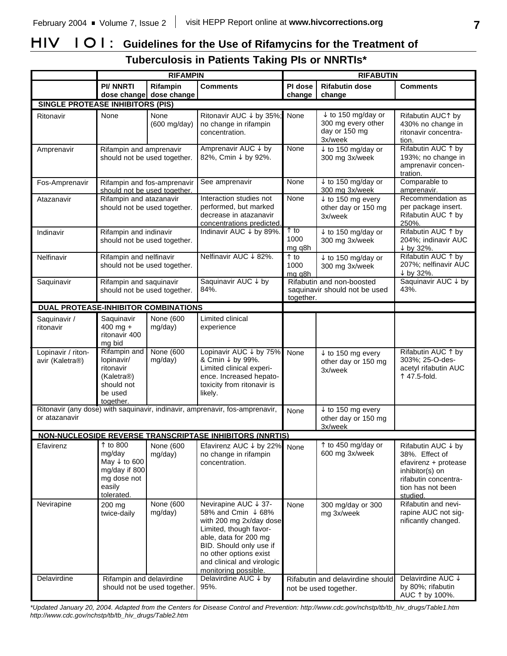# **HIV 101: Guidelines for the Use of Rifamycins for the Treatment of Tuberculosis in Patients Taking PIs or NNRTIs\***

|                                                                                               | <b>RIFAMPIN</b>                                                                                       |                                     | <b>RIFABUTIN</b>                                                                                                                                                                                                                    |                                 |                                                                                 |                                                                                                                                          |
|-----------------------------------------------------------------------------------------------|-------------------------------------------------------------------------------------------------------|-------------------------------------|-------------------------------------------------------------------------------------------------------------------------------------------------------------------------------------------------------------------------------------|---------------------------------|---------------------------------------------------------------------------------|------------------------------------------------------------------------------------------------------------------------------------------|
|                                                                                               | <b>PI/ NNRTI</b>                                                                                      | Rifampin<br>dose change dose change | <b>Comments</b>                                                                                                                                                                                                                     | PI dose<br>change               | <b>Rifabutin dose</b><br>change                                                 | <b>Comments</b>                                                                                                                          |
| <b>SINGLE PROTEASE INHIBITORS (PIS)</b>                                                       |                                                                                                       |                                     |                                                                                                                                                                                                                                     |                                 |                                                                                 |                                                                                                                                          |
| Ritonavir                                                                                     | None                                                                                                  | None<br>(600 mg/day)                | Ritonavir AUC ↓ by 35%;<br>no change in rifampin<br>concentration.                                                                                                                                                                  | None                            | $\downarrow$ to 150 mg/day or<br>300 mg every other<br>day or 150 mg<br>3x/week | Rifabutin AUC1 by<br>430% no change in<br>ritonavir concentra-<br>tion.                                                                  |
| Amprenavir                                                                                    | Rifampin and amprenavir<br>should not be used together.                                               |                                     | Amprenavir AUC ↓ by<br>82%, Cmin ↓ by 92%.                                                                                                                                                                                          | None                            | $t$ to 150 mg/day or<br>300 mg 3x/week                                          | Rifabutin AUC 1 by<br>193%; no change in<br>amprenavir concen-<br>tration.                                                               |
| Fos-Amprenavir                                                                                | Rifampin and fos-amprenavir<br>should not be used together.                                           |                                     | See amprenavir                                                                                                                                                                                                                      | None                            | $\downarrow$ to 150 mg/day or<br>300 mg 3x/week                                 | Comparable to<br>amprenavir.                                                                                                             |
| Atazanavir                                                                                    | Rifampin and atazanavir<br>should not be used together.                                               |                                     | Interaction studies not<br>performed, but marked<br>decrease in atazanavir<br>concentrations predicted.                                                                                                                             | None                            | $\downarrow$ to 150 mg every<br>other day or 150 mg<br>3x/week                  | Recommendation as<br>per package insert.<br>Rifabutin AUC ↑ by<br>250%.                                                                  |
| Indinavir                                                                                     | Rifampin and indinavir<br>should not be used together.                                                |                                     | Indinavir AUC ↓ by 89%.                                                                                                                                                                                                             | $\uparrow$ to<br>1000<br>mg q8h | $t$ to 150 mg/day or<br>300 mg 3x/week                                          | Rifabutin AUC 1 by<br>204%; indinavir AUC<br>↓ by 32%.                                                                                   |
| Nelfinavir                                                                                    | Rifampin and nelfinavir<br>should not be used together.                                               |                                     | Nelfinavir AUC ↓ 82%.                                                                                                                                                                                                               | ↑ to<br>1000<br>mg g8h          | $\downarrow$ to 150 mg/day or<br>300 mg 3x/week                                 | Rifabutin AUC 1 by<br>207%; nelfinavir AUC<br>↓ by 32%.                                                                                  |
| Saquinavir                                                                                    | Rifampin and saquinavir<br>should not be used together.                                               |                                     | Saquinavir AUC ↓ by<br>84%.                                                                                                                                                                                                         | together.                       | Rifabutin and non-boosted<br>saquinavir should not be used                      | Saquinavir AUC ↓ by<br>43%.                                                                                                              |
| DUAL PROTEASE-INHIBITOR COMBINATIONS                                                          |                                                                                                       |                                     |                                                                                                                                                                                                                                     |                                 |                                                                                 |                                                                                                                                          |
| Saquinavir /<br>ritonavir                                                                     | Saquinavir<br>$400$ mg +<br>ritonavir 400<br>mg bid                                                   | None (600<br>mg/day)                | Limited clinical<br>experience                                                                                                                                                                                                      |                                 |                                                                                 |                                                                                                                                          |
| Lopinavir / riton-<br>avir (Kaletra®)                                                         | Rifampin and<br>lopinavir/<br>ritonavir<br>(Kaletra®)<br>should not<br>be used<br>together.           | <b>None (600)</b><br>mg/day)        | Lopinavir AUC ↓ by 75%<br>& Cmin ↓ by 99%.<br>Limited clinical experi-<br>ence. Increased hepato-<br>toxicity from ritonavir is<br>likely.                                                                                          | None                            | $\downarrow$ to 150 mg every<br>other day or 150 mg<br>3x/week                  | Rifabutin AUC 1 by<br>303%; 25-O-des-<br>acetyl rifabutin AUC<br>↑ 47.5-fold.                                                            |
| Ritonavir (any dose) with saquinavir, indinavir, amprenavir, fos-amprenavir,<br>or atazanavir |                                                                                                       | None                                | $\overline{10}$ to 150 mg every<br>other day or 150 mg<br>3x/week                                                                                                                                                                   |                                 |                                                                                 |                                                                                                                                          |
|                                                                                               |                                                                                                       |                                     | <b>NON-NUCLEOSIDE REVERSE TRANSCRIPTASE INHIBITORS (NNRTIS)</b>                                                                                                                                                                     |                                 |                                                                                 |                                                                                                                                          |
| Efavirenz                                                                                     | 1 to 800<br>mg/day<br>May $\downarrow$ to 600<br>mg/day if 800<br>mg dose not<br>easily<br>tolerated. | None (600<br>mg/day)                | Efavirenz AUC ↓ by 22%<br>no change in rifampin<br>concentration.                                                                                                                                                                   | None                            | ↑ to 450 mg/day or<br>600 mg 3x/week                                            | Rifabutin AUC ↓ by<br>38%. Effect of<br>efavirenz + protease<br>inhibitor(s) on<br>rifabutin concentra-<br>tion has not been<br>studied. |
| Nevirapine                                                                                    | 200 mg<br>twice-daily                                                                                 | None (600<br>mg/day)                | Nevirapine AUC ↓ 37-<br>58% and Cmin ↓ 68%<br>with 200 mg 2x/day dose<br>Limited, though favor-<br>able, data for 200 mg<br>BID. Should only use if<br>no other options exist<br>and clinical and virologic<br>monitoring possible. | None                            | 300 mg/day or 300<br>mg 3x/week                                                 | Rifabutin and nevi-<br>rapine AUC not sig-<br>nificantly changed.                                                                        |
| Delavirdine                                                                                   | Rifampin and delavirdine                                                                              | should not be used together.        | Delavirdine AUC ↓ by<br>95%.                                                                                                                                                                                                        |                                 | Rifabutin and delavirdine should<br>not be used together.                       | Delavirdine AUC ↓<br>by 80%; rifabutin<br>AUC 1 by 100%.                                                                                 |

*\*Updated January 20, 2004. Adapted from the Centers for Disease Control and Prevention: http://www.cdc.gov/nchstp/tb/tb\_hiv\_drugs/Table1.htm http://www.cdc.gov/nchstp/tb/tb\_hiv\_drugs/Table2.htm*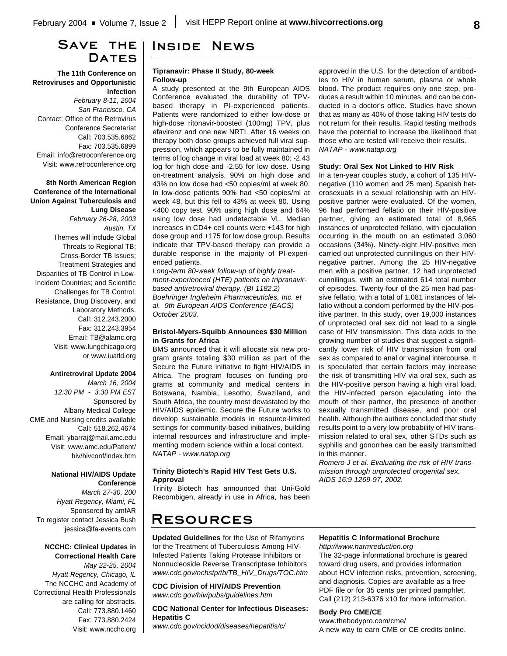# **Save the** DATES

**The 11th Conference on Retroviruses and Opportunistic Infection** *February 8-11, 2004 San Francisco, CA* Contact: Office of the Retrovirus Conference Secretariat Call: 703.535.6862 Fax: 703.535.6899

Email: info@retroconference.org Visit: www.retroconference.org

### **8th North American Region Conference of the International Union Against Tuberculosis and Lung Disease**

*February 26-28, 2003 Austin, TX* Themes will include Global Threats to Regional TB; Cross-Border TB Issues; Treatment Strategies and Disparities of TB Control in Low-Incident Countries; and Scientific Challenges for TB Control: Resistance, Drug Discovery, and Laboratory Methods. Call: 312.243.2000 Fax: 312.243.3954 Email: TB@alamc.org Visit: www.lungchicago.org or www.iuatld.org

## **Antiretroviral Update 2004**

*March 16, 2004 12:30 PM - 3:30 PM EST* Sponsored by Albany Medical College CME and Nursing credits available Call: 518.262.4674 Email: ybarraj@mail.amc.edu Visit: www.amc.edu/Patient/ hiv/hivconf/index.htm

### **National HIV/AIDS Update Conference**

*March 27-30, 200 Hyatt Regency, Miami, FL* Sponsored by amfAR To register contact Jessica Bush jessica@fa-events.com

#### **NCCHC: Clinical Updates in Correctional Health Care**

*May 22-25, 2004 Hyatt Regency, Chicago, IL* The NCCHC and Academy of Correctional Health Professionals are calling for abstracts. Call: 773.880.1460 Fax: 773.880.2424 Visit: www.ncchc.org

# **Inside News**

#### **Tipranavir: Phase II Study, 80-week Follow-up**

A study presented at the 9th European AIDS Conference evaluated the durability of TPVbased therapy in PI-experienced patients. Patients were randomized to either low-dose or high-dose ritonavir-boosted (100mg) TPV, plus efavirenz and one new NRTI. After 16 weeks on therapy both dose groups achieved full viral suppression, which appears to be fully maintained in terms of log change in viral load at week 80: -2.43 log for high dose and -2.55 for low dose. Using on-treatment analysis, 90% on high dose and 43% on low dose had <50 copies/ml at week 80. In low-dose patients 90% had <50 copies/ml at week 48, but this fell to 43% at week 80. Using <400 copy test, 90% using high dose and 64% using low dose had undetectable VL. Median increases in CD4+ cell counts were +143 for high dose group and +175 for low dose group. Results indicate that TPV-based therapy can provide a durable response in the majority of PI-experienced patients.

*Long-term 80-week follow-up of highly treatment-experienced (HTE) patients on tripranavirbased antiretroviral therapy. (BI 1182.2) Boehringer Ingleheim Pharmaceuticles, Inc. et al. 9th European AIDS Conference (EACS) October 2003.*

#### **Bristol-Myers-Squibb Announces \$30 Million in Grants for Africa**

BMS announced that it will allocate six new program grants totaling \$30 million as part of the Secure the Future initiative to fight HIV/AIDS in Africa. The program focuses on funding programs at community and medical centers in Botswana, Nambia, Lesotho, Swaziland, and South Africa, the country most devastated by the HIV/AIDS epidemic. Secure the Future works to develop sustainable models in resource-limited settings for community-based initiatives, building internal resources and infrastructure and implementing modern science within a local context. *NATAP - www.natap.org*

#### **Trinity Biotech's Rapid HIV Test Gets U.S. Approval**

Trinity Biotech has announced that Uni-Gold Recombigen, already in use in Africa, has been

# **Resources**

**Updated Guidelines** for the Use of Rifamycins for the Treatment of Tuberculosis Among HIV-Infected Patients Taking Protease Inhibitors or Nonnucleoside Reverse Transcriptase Inhibitors *www.cdc.gov/nchstp/tb/TB\_HIV\_Drugs/TOC.htm*

**CDC Division of HIV/AIDS Prevention** *www.cdc.gov/hiv/pubs/guidelines.htm*

#### **CDC National Center for Infectious Diseases: Hepatitis C**

*www.cdc.gov/ncidod/diseases/hepatitis/c/*

approved in the U.S. for the detection of antibodies to HIV in human serum, plasma or whole blood. The product requires only one step, produces a result within 10 minutes, and can be conducted in a doctor's office. Studies have shown that as many as 40% of those taking HIV tests do not return for their results. Rapid testing methods have the potential to increase the likelihood that those who are tested will receive their results. *NATAP - www.natap.org*

#### **Study: Oral Sex Not Linked to HIV Risk**

In a ten-year couples study, a cohort of 135 HIVnegative (110 women and 25 men) Spanish heterosexuals in a sexual relationship with an HIVpositive partner were evaluated. Of the women, 96 had performed fellatio on their HIV-positive partner, giving an estimated total of 8,965 instances of unprotected fellatio, with ejaculation occurring in the mouth on an estimated 3,060 occasions (34%). Ninety-eight HIV-positive men carried out unprotected cunnilingus on their HIVnegative partner. Among the 25 HIV-negative men with a positive partner, 12 had unprotected cunnilingus, with an estimated 614 total number of episodes. Twenty-four of the 25 men had passive fellatio, with a total of 1,081 instances of fellatio without a condom performed by the HIV-positive partner. In this study, over 19,000 instances of unprotected oral sex did not lead to a single case of HIV transmission. This data adds to the growing number of studies that suggest a significantly lower risk of HIV transmission from oral sex as compared to anal or vaginal intercourse. It is speculated that certain factors may increase the risk of transmitting HIV via oral sex, such as the HIV-positive person having a high viral load, the HIV-infected person ejaculating into the mouth of their partner, the presence of another sexually transmitted disease, and poor oral health. Although the authors concluded that study results point to a very low probability of HIV transmission related to oral sex, other STDs such as syphilis and gonorrhea can be easily transmitted in this manner.

*Romero J et al. Evaluating the risk of HIV transmission through unprotected orogenital sex. AIDS 16:9 1269-97, 2002.*

#### **Hepatitis C Informational Brochure** *http://www.harmreduction.org*

The 32-page informational brochure is geared toward drug users, and provides information about HCV infection risks, prevention, screening, and diagnosis. Copies are available as a free PDF file or for 35 cents per printed pamphlet. Call (212) 213-6376 x10 for more information.

### **Body Pro CME/CE**

www.thebodypro.com/cme/ A new way to earn CME or CE credits online.